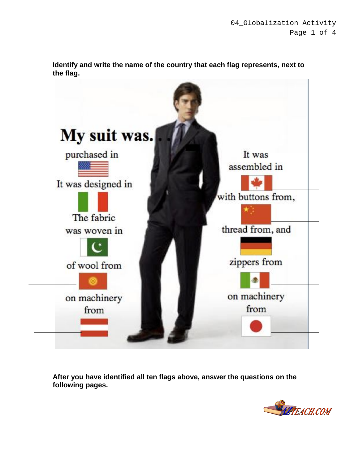

**Identify and write the name of the country that each flag represents, next to the flag.**

**After you have identified all ten flags above, answer the questions on the following pages.**

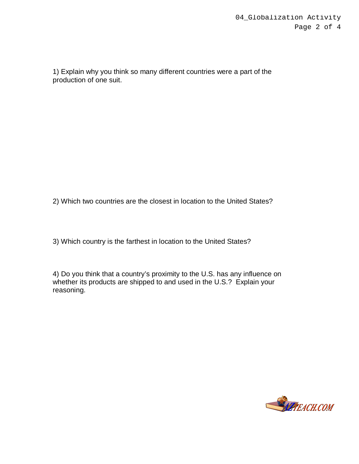1) Explain why you think so many different countries were a part of the production of one suit.

2) Which two countries are the closest in location to the United States?

3) Which country is the farthest in location to the United States?

4) Do you think that a country's proximity to the U.S. has any influence on whether its products are shipped to and used in the U.S.? Explain your reasoning.

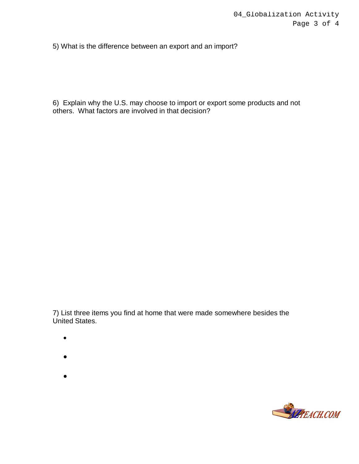5) What is the difference between an export and an import?

6) Explain why the U.S. may choose to import or export some products and not others. What factors are involved in that decision?

7) List three items you find at home that were made somewhere besides the United States.

- $\bullet$
- $\bullet$

 $\bullet$ 

- 
-